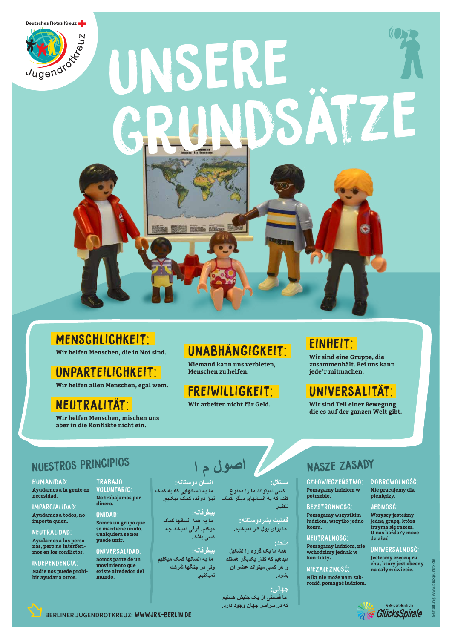# Nuestros principios

zasady Nasze **اصول م ا**

## Menschlichkeit:

**Wir helfen Menschen, die in Not sind.** 

Unparteilichkeit:

**Wir helfen allen Menschen, egal wem.**

Neutralität:

**Wir helfen Menschen, mischen uns aber in die Konflikte nicht ein.** 

# Unabhängigkeit:

**Niemand kann uns verbieten, Menschen zu helfen.** 

Freiwilligkeit:

**Wir arbeiten nicht für Geld.**

# Einheit:

**Wir sind eine Gruppe, die zusammenhält. Bei uns kann jede\*r mitmachen.**

# Universalität:

**Wir sind Teil einer Bewegung, die es auf der ganzen Welt gibt.**

Humanidad:

**Ayudamos a la gente en necesidad.**

#### Imparcialidad:

**Ayudamos a todos, no importa quien.**

#### Neutralidad:

**Ayudamos a las personas, pero no interferimos en los conflictos.**

#### Independencia:

**Nadie nos puede prohibir ayudar a otros.**

**انسان دوستانه: ما به انسانهایی که به کمک نیاز دارند، کمک میکنیم.**

### **بیطرفانه: ما به همه انسانها کمک میکنم. فرقی نمیکند چه کسی باشد. بیطرفانه:**

 **ما به انسانها کمک میکنیم ولی در جنگها شرکت نمیکنیم.** **Pomagamy ludziom w potrzebie.**

### Bezstronność:

**Pomagamy wszystkim ludziom, wszytko jedno komu.**

### Neutralność:

**Pomagamy ludziom, nie wchodzimy jednak w konflikty.**

### Niezależność:

**Nikt nie może nam zabronić, pomagać ludziom.**



Trabajo

voluntario: **No trabajamos por** 

### **dinero.**

#### Unidad:

**Somos un grupo que se mantiene unido. Cualquiera se nos puede unir.**

Człowieczeństwo: Dobrowolność:

#### Universalidad:

**Somos parte de un movimiento que existe alrededor del mundo.**

**مستقل: کسی نمیتواند ما را ممنوع کند، که به انسانهای دیگر کمک نکنیم.**

# **فعالیت بشردوستانه:**

 **ما برای پول کار نمیکنیم.**

#### **متحد:**

 **همه ما یک گروه را تشکیل میدهیم که کنار یکدیگر هستند و هر کسی میتواند عضو ان بشود.**

**جهانی: ما قسمتی از یک جنبش هستیم که در سراسر جهان وجود دارد.**

**Nie pracujemy dla pieniędzy.**

### Jedność:

**Wszyscy jesteśmy jedną grupą, która trzyma się razem. U nas każda/y może działać.**

### Uniwersalność:

**Jesteśmy częścią ruchu, który jest obecny na całym świecie.**